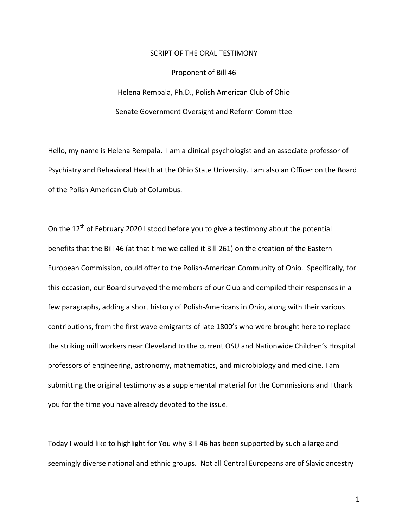## SCRIPT OF THE ORAL TESTIMONY

## Proponent of Bill 46

Helena Rempala, Ph.D., Polish American Club of Ohio Senate Government Oversight and Reform Committee

Hello, my name is Helena Rempala. I am a clinical psychologist and an associate professor of Psychiatry and Behavioral Health at the Ohio State University. I am also an Officer on the Board of the Polish American Club of Columbus.

On the  $12^{th}$  of February 2020 I stood before you to give a testimony about the potential benefits that the Bill 46 (at that time we called it Bill 261) on the creation of the Eastern European Commission, could offer to the Polish-American Community of Ohio. Specifically, for this occasion, our Board surveyed the members of our Club and compiled their responses in a few paragraphs, adding a short history of Polish-Americans in Ohio, along with their various contributions, from the first wave emigrants of late 1800's who were brought here to replace the striking mill workers near Cleveland to the current OSU and Nationwide Children's Hospital professors of engineering, astronomy, mathematics, and microbiology and medicine. I am submitting the original testimony as a supplemental material for the Commissions and I thank you for the time you have already devoted to the issue.

Today I would like to highlight for You why Bill 46 has been supported by such a large and seemingly diverse national and ethnic groups. Not all Central Europeans are of Slavic ancestry

1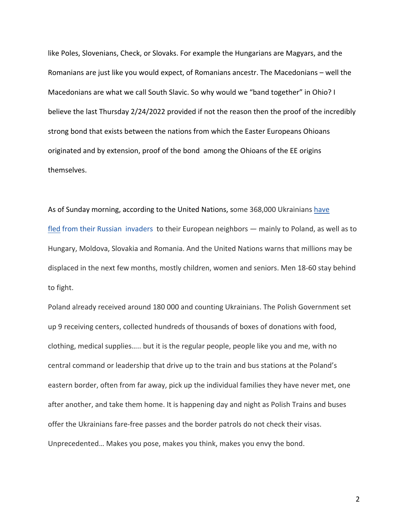like Poles, Slovenians, Check, or Slovaks. For example the Hungarians are Magyars, and the Romanians are just like you would expect, of Romanians ancestr. The Macedonians  $-$  well the Macedonians are what we call South Slavic. So why would we "band together" in Ohio? I believe the last Thursday 2/24/2022 provided if not the reason then the proof of the incredibly strong bond that exists between the nations from which the Easter Europeans Ohioans originated and by extension, proof of the bond among the Ohioans of the EE origins themselves. 

As of Sunday morning, according to the United Nations, some 368,000 Ukrainians have fled from their Russian invaders to their European neighbors — mainly to Poland, as well as to Hungary, Moldova, Slovakia and Romania. And the United Nations warns that millions may be displaced in the next few months, mostly children, women and seniors. Men 18-60 stay behind to fight.

Poland already received around 180 000 and counting Ukrainians. The Polish Government set up 9 receiving centers, collected hundreds of thousands of boxes of donations with food, clothing, medical supplies..... but it is the regular people, people like you and me, with no central command or leadership that drive up to the train and bus stations at the Poland's eastern border, often from far away, pick up the individual families they have never met, one after another, and take them home. It is happening day and night as Polish Trains and buses offer the Ukrainians fare-free passes and the border patrols do not check their visas. Unprecedented... Makes you pose, makes you think, makes you envy the bond.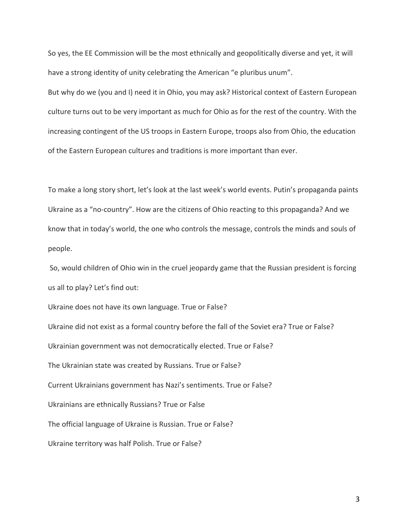So yes, the EE Commission will be the most ethnically and geopolitically diverse and yet, it will have a strong identity of unity celebrating the American "e pluribus unum".

But why do we (you and I) need it in Ohio, you may ask? Historical context of Eastern European culture turns out to be very important as much for Ohio as for the rest of the country. With the increasing contingent of the US troops in Eastern Europe, troops also from Ohio, the education of the Eastern European cultures and traditions is more important than ever.

To make a long story short, let's look at the last week's world events. Putin's propaganda paints Ukraine as a "no-country". How are the citizens of Ohio reacting to this propaganda? And we know that in today's world, the one who controls the message, controls the minds and souls of people.

So, would children of Ohio win in the cruel jeopardy game that the Russian president is forcing us all to play? Let's find out:

Ukraine does not have its own language. True or False?

Ukraine did not exist as a formal country before the fall of the Soviet era? True or False? Ukrainian government was not democratically elected. True or False? The Ukrainian state was created by Russians. True or False? Current Ukrainians government has Nazi's sentiments. True or False? Ukrainians are ethnically Russians? True or False The official language of Ukraine is Russian. True or False? Ukraine territory was half Polish. True or False?